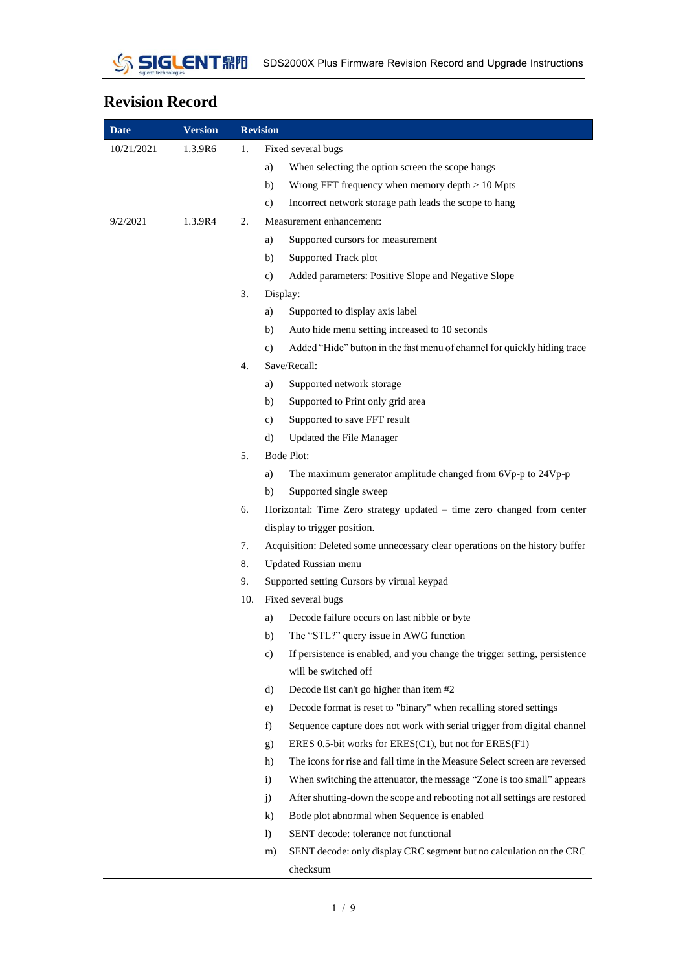

## **Revision Record**

| <b>Date</b> | <b>Version</b> |     | <b>Revision</b> |                                                                              |
|-------------|----------------|-----|-----------------|------------------------------------------------------------------------------|
| 10/21/2021  | 1.3.9R6        | 1.  |                 | Fixed several bugs                                                           |
|             |                |     | a)              | When selecting the option screen the scope hangs                             |
|             |                |     | b)              | Wrong FFT frequency when memory depth $> 10$ Mpts                            |
|             |                |     | c)              | Incorrect network storage path leads the scope to hang                       |
| 9/2/2021    | 1.3.9R4        | 2.  |                 | Measurement enhancement:                                                     |
|             |                |     | a)              | Supported cursors for measurement                                            |
|             |                |     | b)              | Supported Track plot                                                         |
|             |                |     | c)              | Added parameters: Positive Slope and Negative Slope                          |
|             |                | 3.  | Display:        |                                                                              |
|             |                |     | a)              | Supported to display axis label                                              |
|             |                |     | b)              | Auto hide menu setting increased to 10 seconds                               |
|             |                |     | c)              | Added "Hide" button in the fast menu of channel for quickly hiding trace     |
|             |                | 4.  |                 | Save/Recall:                                                                 |
|             |                |     | a)              | Supported network storage                                                    |
|             |                |     | b)              | Supported to Print only grid area                                            |
|             |                |     | c)              | Supported to save FFT result                                                 |
|             |                |     | d)              | Updated the File Manager                                                     |
|             |                | 5.  | Bode Plot:      |                                                                              |
|             |                |     | a)              | The maximum generator amplitude changed from 6Vp-p to 24Vp-p                 |
|             |                |     | b)              | Supported single sweep                                                       |
|             |                | 6.  |                 | Horizontal: Time Zero strategy updated - time zero changed from center       |
|             |                |     |                 | display to trigger position.                                                 |
|             |                | 7.  |                 | Acquisition: Deleted some unnecessary clear operations on the history buffer |
|             |                | 8.  |                 | Updated Russian menu                                                         |
|             |                | 9.  |                 | Supported setting Cursors by virtual keypad                                  |
|             |                | 10. |                 | Fixed several bugs                                                           |
|             |                |     | a)              | Decode failure occurs on last nibble or byte                                 |
|             |                |     | b)              | The "STL?" query issue in AWG function                                       |
|             |                |     | c)              | If persistence is enabled, and you change the trigger setting, persistence   |
|             |                |     |                 | will be switched off                                                         |
|             |                |     | d)              | Decode list can't go higher than item #2                                     |
|             |                |     | e)              | Decode format is reset to "binary" when recalling stored settings            |
|             |                |     | f)              | Sequence capture does not work with serial trigger from digital channel      |
|             |                |     | g)              | ERES 0.5-bit works for $ERES(C1)$ , but not for $ERES(F1)$                   |
|             |                |     | h)              | The icons for rise and fall time in the Measure Select screen are reversed   |
|             |                |     | $\mathbf{i}$    | When switching the attenuator, the message "Zone is too small" appears       |
|             |                |     | j)              | After shutting-down the scope and rebooting not all settings are restored    |
|             |                |     | $\bf{k}$        | Bode plot abnormal when Sequence is enabled                                  |
|             |                |     | $\mathbf{D}$    | SENT decode: tolerance not functional                                        |
|             |                |     | m)              | SENT decode: only display CRC segment but no calculation on the CRC          |
|             |                |     |                 | checksum                                                                     |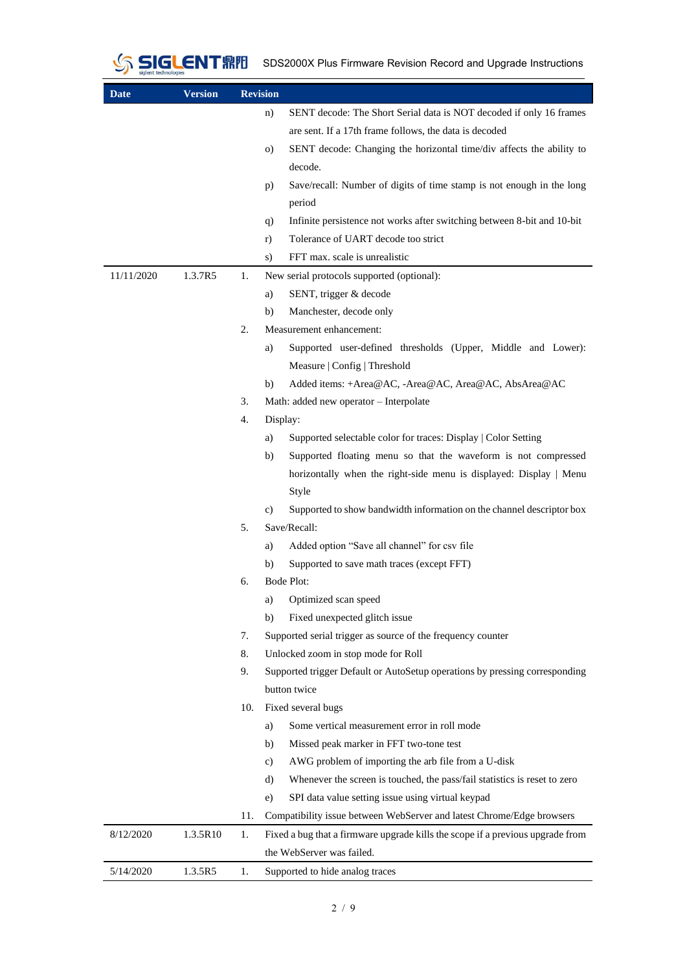

SIGLENT FIFIFI SDS2000X Plus Firmware Revision Record and Upgrade Instructions

| <b>Date</b> | <b>Version</b> | <b>Revision</b> |                                                                                |
|-------------|----------------|-----------------|--------------------------------------------------------------------------------|
|             |                | n)              | SENT decode: The Short Serial data is NOT decoded if only 16 frames            |
|             |                |                 | are sent. If a 17th frame follows, the data is decoded                         |
|             |                | $\circ$ )       | SENT decode: Changing the horizontal time/div affects the ability to           |
|             |                |                 | decode.                                                                        |
|             |                | p)              | Save/recall: Number of digits of time stamp is not enough in the long          |
|             |                |                 | period                                                                         |
|             |                | q)              | Infinite persistence not works after switching between 8-bit and 10-bit        |
|             |                | r)              | Tolerance of UART decode too strict                                            |
|             |                | S)              | FFT max. scale is unrealistic                                                  |
| 11/11/2020  | 1.3.7R5        | 1.              | New serial protocols supported (optional):                                     |
|             |                | a)              | SENT, trigger & decode                                                         |
|             |                | b)              | Manchester, decode only                                                        |
|             |                | 2.              | Measurement enhancement:                                                       |
|             |                | a)              | Supported user-defined thresholds (Upper, Middle and Lower):                   |
|             |                |                 | Measure   Config   Threshold                                                   |
|             |                | b)              | Added items: +Area@AC, -Area@AC, Area@AC, AbsArea@AC                           |
|             |                | 3.              | Math: added new operator - Interpolate                                         |
|             |                | 4.              | Display:                                                                       |
|             |                | a)              | Supported selectable color for traces: Display   Color Setting                 |
|             |                | b)              | Supported floating menu so that the waveform is not compressed                 |
|             |                |                 | horizontally when the right-side menu is displayed: Display   Menu             |
|             |                |                 | Style                                                                          |
|             |                | C)              | Supported to show bandwidth information on the channel descriptor box          |
|             |                | 5.              | Save/Recall:                                                                   |
|             |                | a)              | Added option "Save all channel" for csv file                                   |
|             |                | b)              | Supported to save math traces (except FFT)                                     |
|             |                | 6.              | Bode Plot:                                                                     |
|             |                | a)              | Optimized scan speed                                                           |
|             |                | b)              | Fixed unexpected glitch issue                                                  |
|             |                | 7.              | Supported serial trigger as source of the frequency counter                    |
|             |                | 8.              | Unlocked zoom in stop mode for Roll                                            |
|             |                | 9.              | Supported trigger Default or AutoSetup operations by pressing corresponding    |
|             |                |                 | button twice                                                                   |
|             |                | 10.             | Fixed several bugs                                                             |
|             |                | a)              | Some vertical measurement error in roll mode                                   |
|             |                | b)              | Missed peak marker in FFT two-tone test                                        |
|             |                | c)              | AWG problem of importing the arb file from a U-disk                            |
|             |                | d)              | Whenever the screen is touched, the pass/fail statistics is reset to zero      |
|             |                | e)              | SPI data value setting issue using virtual keypad                              |
|             |                | 11.             | Compatibility issue between WebServer and latest Chrome/Edge browsers          |
| 8/12/2020   | 1.3.5R10       | 1.              | Fixed a bug that a firmware upgrade kills the scope if a previous upgrade from |
|             |                |                 | the WebServer was failed.                                                      |
| 5/14/2020   | 1.3.5R5        | 1.              | Supported to hide analog traces                                                |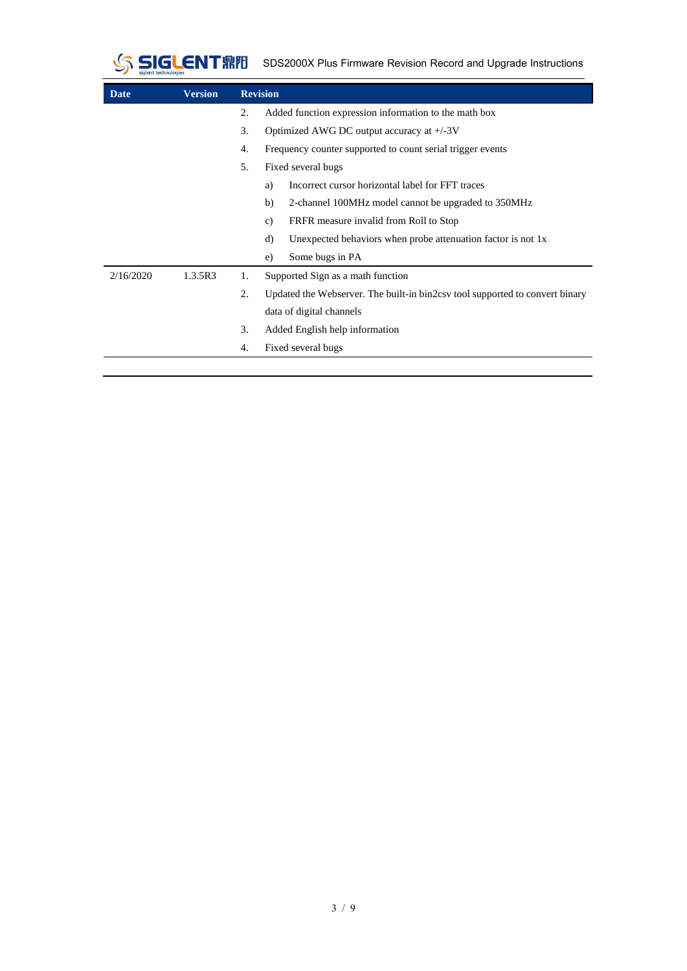

SIGLENT **AND** SDS2000X Plus Firmware Revision Record and Upgrade Instructions

| Date      | <b>Version</b> |                  | <b>Revision</b>                                                              |  |  |  |  |
|-----------|----------------|------------------|------------------------------------------------------------------------------|--|--|--|--|
|           |                | $\overline{2}$ . | Added function expression information to the math box                        |  |  |  |  |
|           |                | 3.               | Optimized AWG DC output accuracy at $+/-3V$                                  |  |  |  |  |
|           |                | 4.               | Frequency counter supported to count serial trigger events                   |  |  |  |  |
|           |                | 5.               | Fixed several bugs                                                           |  |  |  |  |
|           |                |                  | Incorrect cursor horizontal label for FFT traces<br>a)                       |  |  |  |  |
|           |                |                  | b)<br>2-channel 100MHz model cannot be upgraded to 350MHz                    |  |  |  |  |
|           |                |                  | FRFR measure invalid from Roll to Stop<br>c)                                 |  |  |  |  |
|           |                |                  | Unexpected behaviors when probe attenuation factor is not $1x$<br>d)         |  |  |  |  |
|           |                |                  | Some bugs in PA<br>e)                                                        |  |  |  |  |
| 2/16/2020 | 1.3.5R3        | 1.               | Supported Sign as a math function                                            |  |  |  |  |
|           |                | $\overline{2}$ . | Updated the Webserver. The built-in bin2csy tool supported to convert binary |  |  |  |  |
|           |                |                  | data of digital channels                                                     |  |  |  |  |
|           |                | 3.               | Added English help information                                               |  |  |  |  |
|           |                | 4.               | Fixed several bugs                                                           |  |  |  |  |
|           |                |                  |                                                                              |  |  |  |  |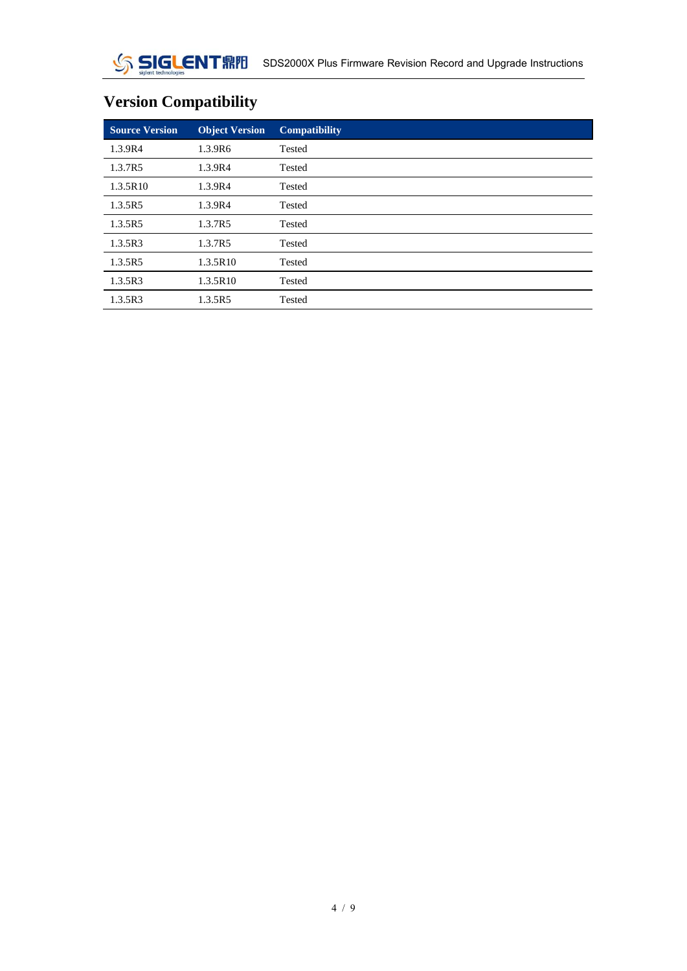# **Version Compatibility**

| <b>Source Version</b> | <b>Object Version</b> | <b>Compatibility</b> |
|-----------------------|-----------------------|----------------------|
| 1.3.9R4               | 1.3.9R6               | Tested               |
| 1.3.7R5               | 1.3.9R4               | Tested               |
| 1.3.5R10              | 1.3.9R4               | Tested               |
| 1.3.5R5               | 1.3.9R4               | Tested               |
| 1.3.5R5               | 1.3.7R5               | Tested               |
| 1.3.5R3               | 1.3.7R5               | Tested               |
| 1.3.5R5               | 1.3.5R10              | Tested               |
| 1.3.5R3               | 1.3.5R10              | Tested               |
| 1.3.5R3               | 1.3.5R5               | Tested               |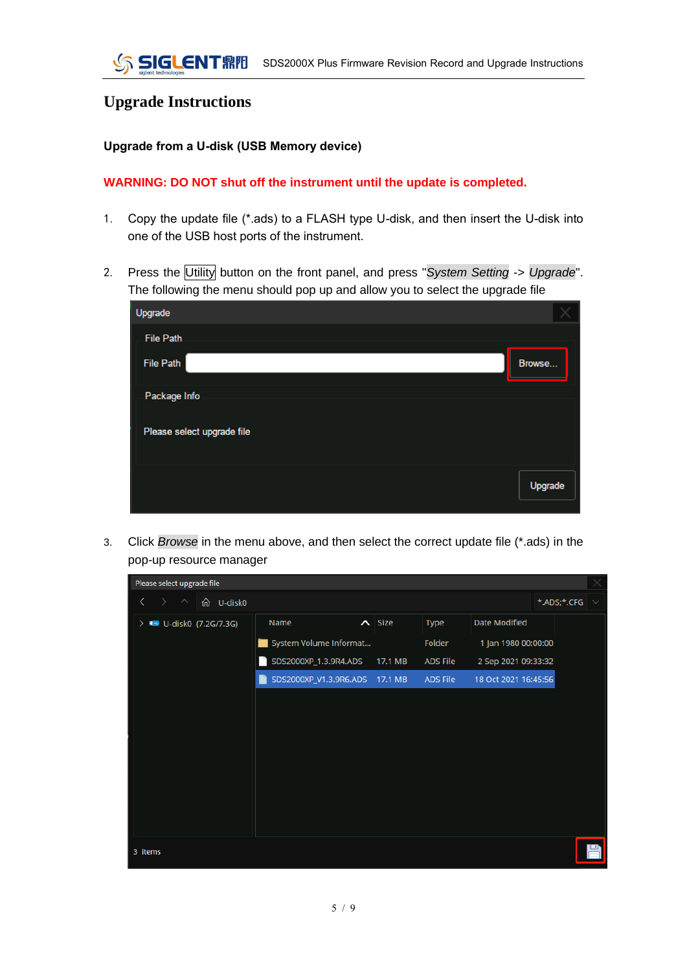## **Upgrade Instructions**

#### **Upgrade from a U-disk (USB Memory device)**

#### **WARNING: DO NOT shut off the instrument until the update is completed.**

- 1. Copy the update file (\*.ads) to a FLASH type U-disk, and then insert the U-disk into one of the USB host ports of the instrument.
- 2. Press the Utility button on the front panel, and press "*System Setting* -> *Upgrade*". The following the menu should pop up and allow you to select the upgrade file

| Upgrade                    |         |
|----------------------------|---------|
| <b>File Path</b>           |         |
| File Path                  | Browse  |
| Package Info               |         |
| Please select upgrade file |         |
|                            | Upgrade |

3. Click *Browse* in the menu above, and then select the correct update file (\*.ads) in the pop-up resource manager

| Please select upgrade file                                                              |                                     |                |                 |                      |             |  |
|-----------------------------------------------------------------------------------------|-------------------------------------|----------------|-----------------|----------------------|-------------|--|
| <b>命 U-disk0</b><br>$\rightarrow$<br>$\left\langle \right\rangle$<br>$\curvearrowright$ |                                     |                |                 |                      | *.ADS;*.CFG |  |
| > BD U-disk0 (7.2G/7.3G)                                                                | Name                                | $\lambda$ Size | <b>Type</b>     | Date Modified        |             |  |
|                                                                                         | System Volume Informat              |                | Folder          | 1 Jan 1980 00:00:00  |             |  |
|                                                                                         | SDS2000XP_1.3.9R4.ADS<br>n          | 17.1 MB        | <b>ADS File</b> | 2 Sep 2021 09:33:32  |             |  |
|                                                                                         | SDS2000XP_V1.3.9R6.ADS 17.1 MB<br>K |                | ADS File        | 18 Oct 2021 16:45:56 |             |  |
|                                                                                         |                                     |                |                 |                      |             |  |
|                                                                                         |                                     |                |                 |                      |             |  |
|                                                                                         |                                     |                |                 |                      |             |  |
|                                                                                         |                                     |                |                 |                      |             |  |
|                                                                                         |                                     |                |                 |                      |             |  |
|                                                                                         |                                     |                |                 |                      |             |  |
|                                                                                         |                                     |                |                 |                      |             |  |
|                                                                                         |                                     |                |                 |                      |             |  |
| 3 items                                                                                 |                                     |                |                 |                      |             |  |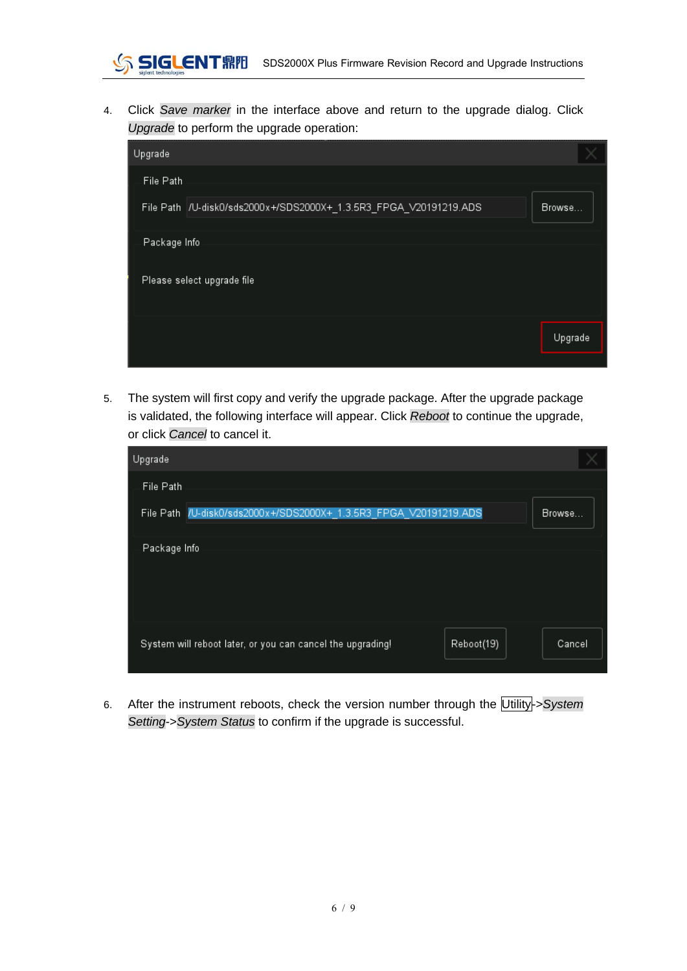4. Click *Save marker* in the interface above and return to the upgrade dialog. Click *Upgrade* to perform the upgrade operation:

| Upgrade                                                            |         |
|--------------------------------------------------------------------|---------|
| File Path                                                          |         |
| File Path  /U-disk0/sds2000x+/SDS2000X+_1.3.5R3_FPGA_V20191219.ADS | Browse  |
| Package Info                                                       |         |
| Please select upgrade file                                         |         |
|                                                                    | Upgrade |
|                                                                    |         |

5. The system will first copy and verify the upgrade package. After the upgrade package is validated, the following interface will appear. Click *Reboot* to continue the upgrade, or click *Cancel* to cancel it.

| Upgrade                                                                  |        |
|--------------------------------------------------------------------------|--------|
| File Path                                                                |        |
| File Path /U-disk0/sds2000x+/SDS2000X+_1.3.5R3_FPGA_V20191219.ADS        | Browse |
| Package Info                                                             |        |
| System will reboot later, or you can cancel the upgrading!<br>Reboot(19) | Cancel |

6. After the instrument reboots, check the version number through the Utility->*System Setting*->*System Status* to confirm if the upgrade is successful.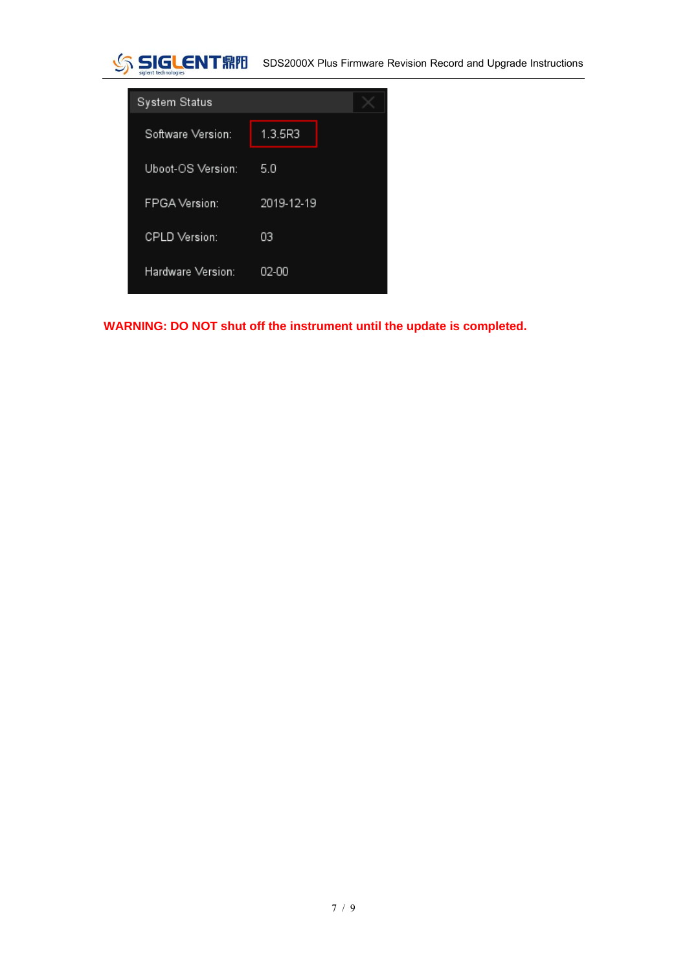



**WARNING: DO NOT shut off the instrument until the update is completed.**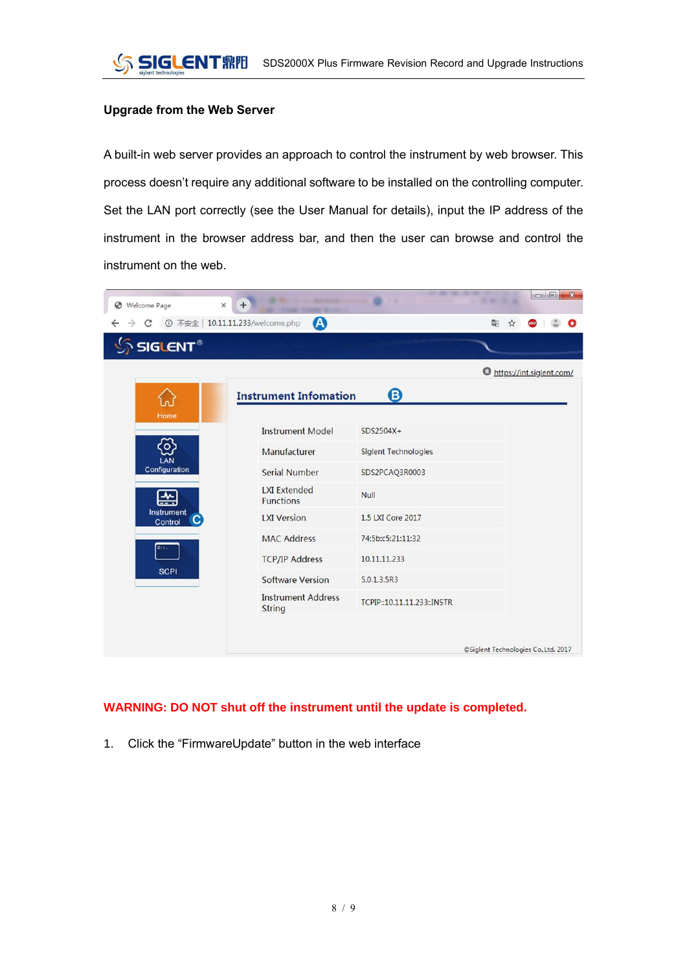#### **Upgrade from the Web Server**

A built-in web server provides an approach to control the instrument by web browser. This process doesn't require any additional software to be installed on the controlling computer. Set the LAN port correctly (see the User Manual for details), input the IP address of the instrument in the browser address bar, and then the user can browse and control the instrument on the web.

|                           | A                                       |                             |                            |  |
|---------------------------|-----------------------------------------|-----------------------------|----------------------------|--|
| $\delta$ SIGLENT $^\circ$ |                                         |                             |                            |  |
|                           |                                         |                             | O https://int.siglent.com/ |  |
|                           | <b>Instrument Infomation</b>            | $\mathbf{G}$                |                            |  |
| Home                      | <b>Instrument Model</b>                 | $SDS2504X+$                 |                            |  |
| $\overline{\circ}$<br>LAN | Manufacturer                            | <b>Siglent Technologies</b> |                            |  |
| Configuration             | <b>Serial Number</b>                    | SDS2PCAQ3R0003              |                            |  |
| 쓵                         | <b>LXI Extended</b><br><b>Functions</b> | <b>Null</b>                 |                            |  |
| Instrument<br>Control     | <b>LXI Version</b>                      | 1.5 LXI Core 2017           |                            |  |
| $c_{1}$                   | <b>MAC Address</b>                      | 74:5b:c5:21:11:32           |                            |  |
|                           | <b>TCP/IP Address</b>                   | 10.11.11.233                |                            |  |
| <b>SCPI</b>               | <b>Software Version</b>                 | 5.0.1.3.5R3                 |                            |  |
|                           | <b>Instrument Address</b><br>String     | TCPIP::10.11.11.233::INSTR  |                            |  |

### **WARNING: DO NOT shut off the instrument until the update is completed.**

1. Click the "FirmwareUpdate" button in the web interface